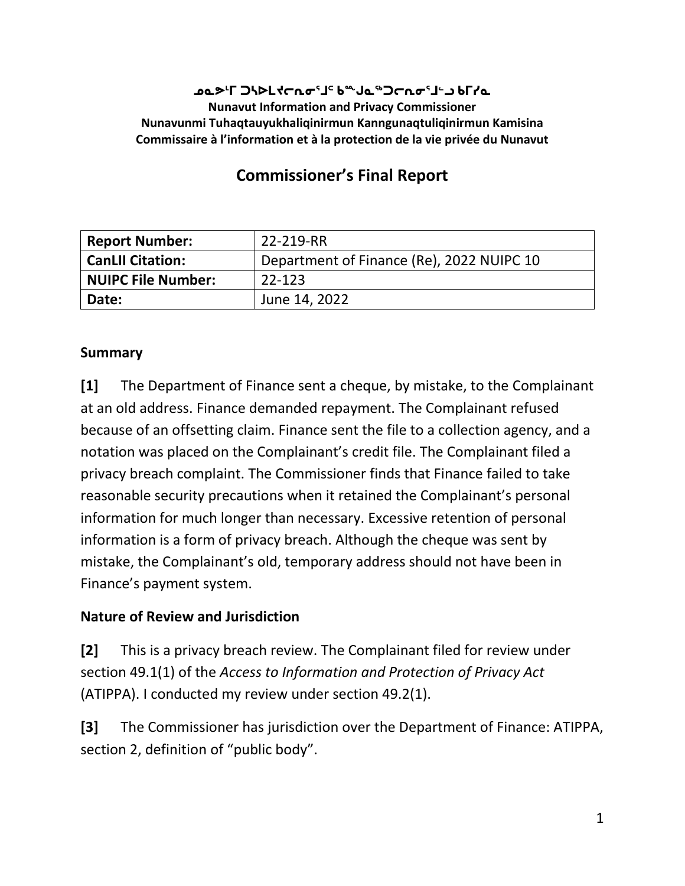#### **ᓄᓇᕗᒻᒥ ᑐᓴᐅᒪᔪᓕᕆᓂᕐᒧᑦ ᑲᖖᒍᓇᖅᑐᓕᕆᓂᕐᒧᓪᓗ ᑲᒥᓯᓇ Nunavut Information and Privacy Commissioner Nunavunmi Tuhaqtauyukhaliqinirmun Kanngunaqtuliqinirmun Kamisina Commissaire à l'information et à la protection de la vie privée du Nunavut**

# **Commissioner's Final Report**

| <b>Report Number:</b>     | 22-219-RR                                 |
|---------------------------|-------------------------------------------|
| <b>CanLII Citation:</b>   | Department of Finance (Re), 2022 NUIPC 10 |
| <b>NUIPC File Number:</b> | $22 - 123$                                |
| Date:                     | June 14, 2022                             |

#### **Summary**

**[1]** The Department of Finance sent a cheque, by mistake, to the Complainant at an old address. Finance demanded repayment. The Complainant refused because of an offsetting claim. Finance sent the file to a collection agency, and a notation was placed on the Complainant's credit file. The Complainant filed a privacy breach complaint. The Commissioner finds that Finance failed to take reasonable security precautions when it retained the Complainant's personal information for much longer than necessary. Excessive retention of personal information is a form of privacy breach. Although the cheque was sent by mistake, the Complainant's old, temporary address should not have been in Finance's payment system.

### **Nature of Review and Jurisdiction**

**[2]** This is a privacy breach review. The Complainant filed for review under section 49.1(1) of the *Access to Information and Protection of Privacy Act* (ATIPPA). I conducted my review under section 49.2(1).

**[3]** The Commissioner has jurisdiction over the Department of Finance: ATIPPA, section 2, definition of "public body".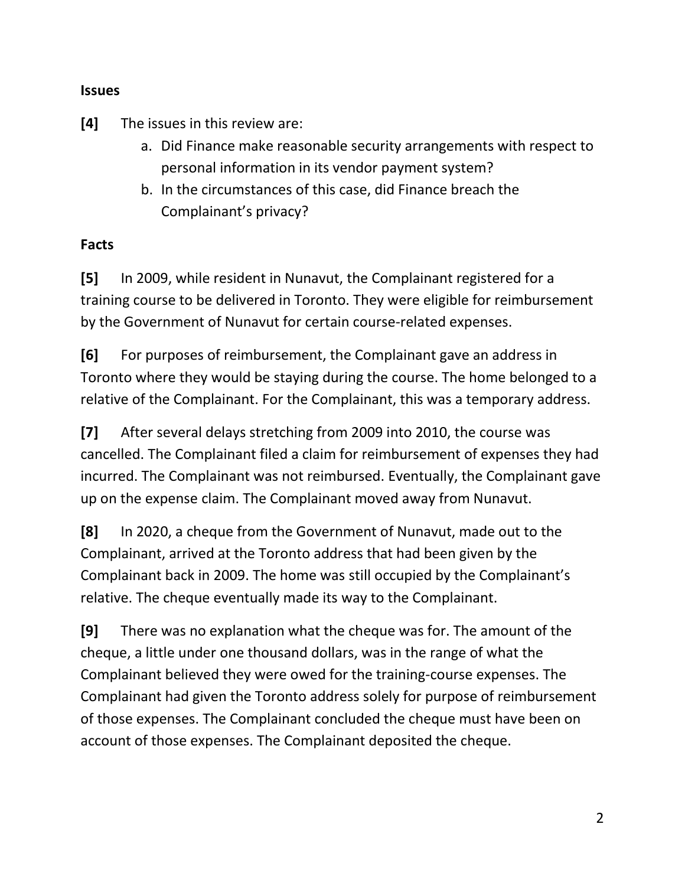#### **Issues**

**[4]** The issues in this review are:

- a. Did Finance make reasonable security arrangements with respect to personal information in its vendor payment system?
- b. In the circumstances of this case, did Finance breach the Complainant's privacy?

#### **Facts**

**[5]** In 2009, while resident in Nunavut, the Complainant registered for a training course to be delivered in Toronto. They were eligible for reimbursement by the Government of Nunavut for certain course-related expenses.

**[6]** For purposes of reimbursement, the Complainant gave an address in Toronto where they would be staying during the course. The home belonged to a relative of the Complainant. For the Complainant, this was a temporary address.

**[7]** After several delays stretching from 2009 into 2010, the course was cancelled. The Complainant filed a claim for reimbursement of expenses they had incurred. The Complainant was not reimbursed. Eventually, the Complainant gave up on the expense claim. The Complainant moved away from Nunavut.

**[8]** In 2020, a cheque from the Government of Nunavut, made out to the Complainant, arrived at the Toronto address that had been given by the Complainant back in 2009. The home was still occupied by the Complainant's relative. The cheque eventually made its way to the Complainant.

**[9]** There was no explanation what the cheque was for. The amount of the cheque, a little under one thousand dollars, was in the range of what the Complainant believed they were owed for the training-course expenses. The Complainant had given the Toronto address solely for purpose of reimbursement of those expenses. The Complainant concluded the cheque must have been on account of those expenses. The Complainant deposited the cheque.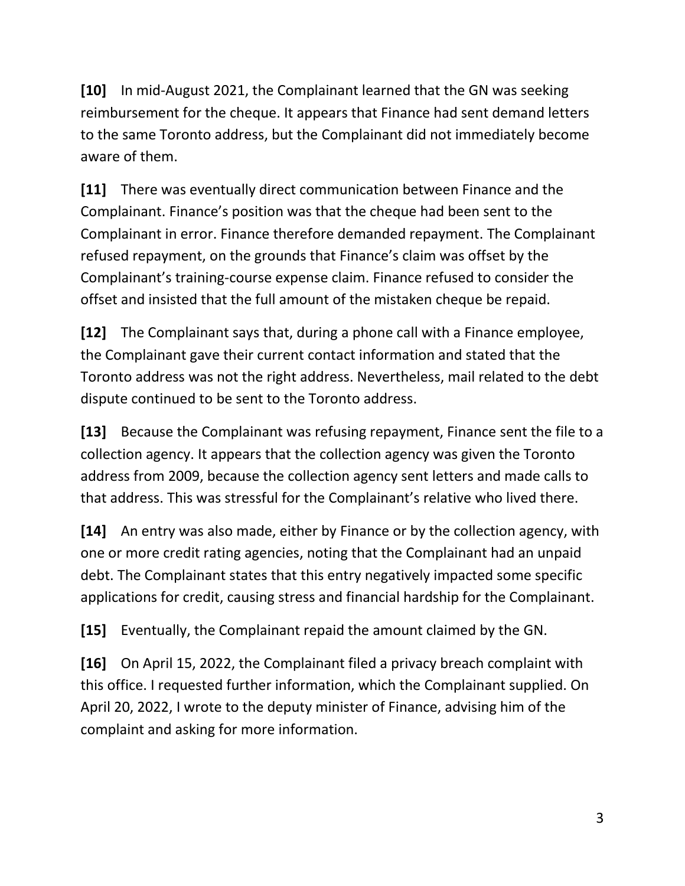**[10]** In mid-August 2021, the Complainant learned that the GN was seeking reimbursement for the cheque. It appears that Finance had sent demand letters to the same Toronto address, but the Complainant did not immediately become aware of them.

**[11]** There was eventually direct communication between Finance and the Complainant. Finance's position was that the cheque had been sent to the Complainant in error. Finance therefore demanded repayment. The Complainant refused repayment, on the grounds that Finance's claim was offset by the Complainant's training-course expense claim. Finance refused to consider the offset and insisted that the full amount of the mistaken cheque be repaid.

**[12]** The Complainant says that, during a phone call with a Finance employee, the Complainant gave their current contact information and stated that the Toronto address was not the right address. Nevertheless, mail related to the debt dispute continued to be sent to the Toronto address.

**[13]** Because the Complainant was refusing repayment, Finance sent the file to a collection agency. It appears that the collection agency was given the Toronto address from 2009, because the collection agency sent letters and made calls to that address. This was stressful for the Complainant's relative who lived there.

**[14]** An entry was also made, either by Finance or by the collection agency, with one or more credit rating agencies, noting that the Complainant had an unpaid debt. The Complainant states that this entry negatively impacted some specific applications for credit, causing stress and financial hardship for the Complainant.

**[15]** Eventually, the Complainant repaid the amount claimed by the GN.

**[16]** On April 15, 2022, the Complainant filed a privacy breach complaint with this office. I requested further information, which the Complainant supplied. On April 20, 2022, I wrote to the deputy minister of Finance, advising him of the complaint and asking for more information.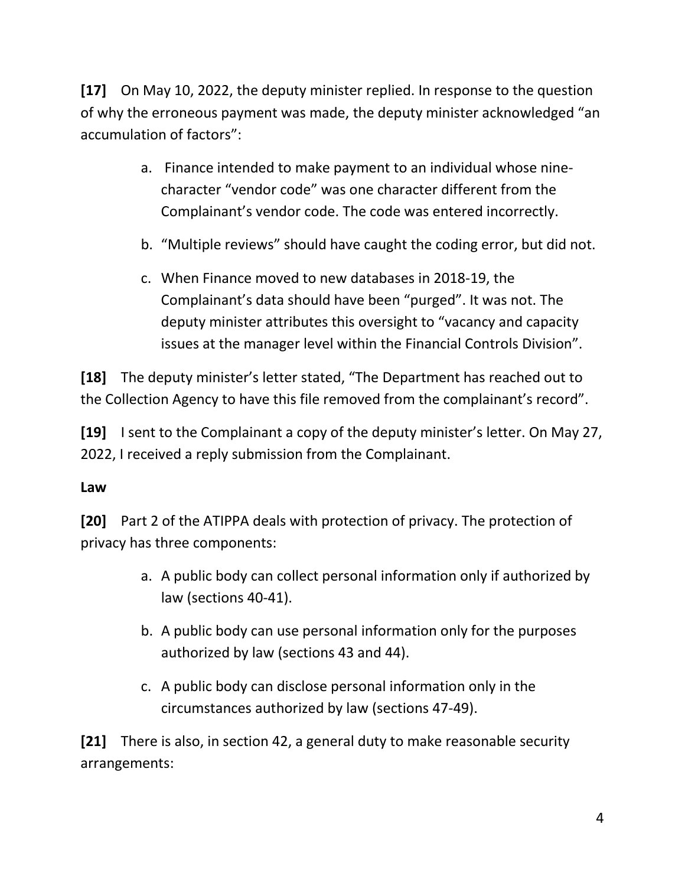**[17]** On May 10, 2022, the deputy minister replied. In response to the question of why the erroneous payment was made, the deputy minister acknowledged "an accumulation of factors":

- a. Finance intended to make payment to an individual whose ninecharacter "vendor code" was one character different from the Complainant's vendor code. The code was entered incorrectly.
- b. "Multiple reviews" should have caught the coding error, but did not.
- c. When Finance moved to new databases in 2018-19, the Complainant's data should have been "purged". It was not. The deputy minister attributes this oversight to "vacancy and capacity issues at the manager level within the Financial Controls Division".

**[18]** The deputy minister's letter stated, "The Department has reached out to the Collection Agency to have this file removed from the complainant's record".

**[19]** I sent to the Complainant a copy of the deputy minister's letter. On May 27, 2022, I received a reply submission from the Complainant.

### **Law**

**[20]** Part 2 of the ATIPPA deals with protection of privacy. The protection of privacy has three components:

- a. A public body can collect personal information only if authorized by law (sections 40-41).
- b. A public body can use personal information only for the purposes authorized by law (sections 43 and 44).
- c. A public body can disclose personal information only in the circumstances authorized by law (sections 47-49).

**[21]** There is also, in section 42, a general duty to make reasonable security arrangements: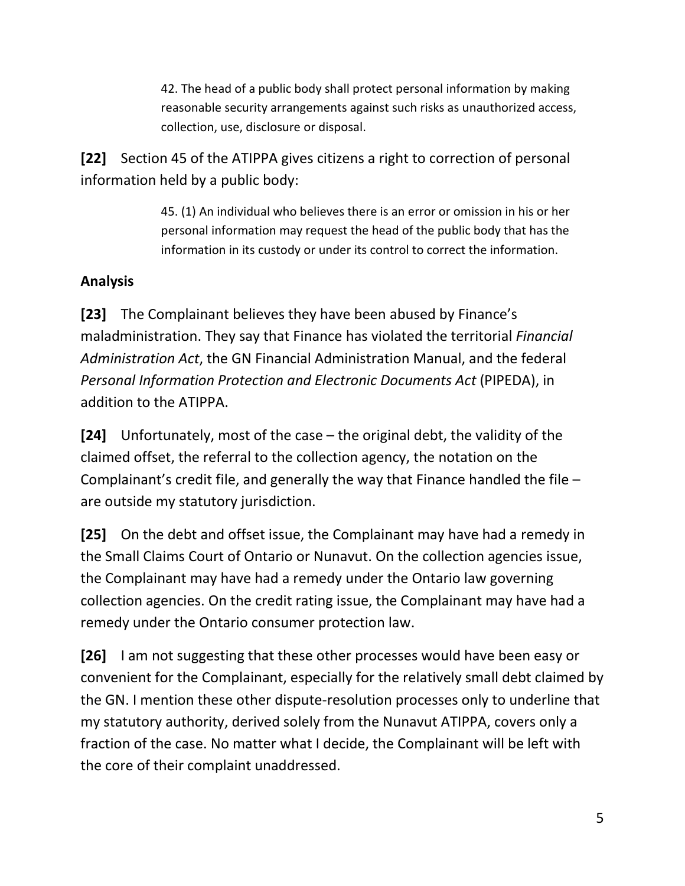42. The head of a public body shall protect personal information by making reasonable security arrangements against such risks as unauthorized access, collection, use, disclosure or disposal.

**[22]** Section 45 of the ATIPPA gives citizens a right to correction of personal information held by a public body:

> 45. (1) An individual who believes there is an error or omission in his or her personal information may request the head of the public body that has the information in its custody or under its control to correct the information.

## **Analysis**

**[23]** The Complainant believes they have been abused by Finance's maladministration. They say that Finance has violated the territorial *Financial Administration Act*, the GN Financial Administration Manual, and the federal *Personal Information Protection and Electronic Documents Act* (PIPEDA), in addition to the ATIPPA.

**[24]** Unfortunately, most of the case – the original debt, the validity of the claimed offset, the referral to the collection agency, the notation on the Complainant's credit file, and generally the way that Finance handled the file – are outside my statutory jurisdiction.

**[25]** On the debt and offset issue, the Complainant may have had a remedy in the Small Claims Court of Ontario or Nunavut. On the collection agencies issue, the Complainant may have had a remedy under the Ontario law governing collection agencies. On the credit rating issue, the Complainant may have had a remedy under the Ontario consumer protection law.

**[26]** I am not suggesting that these other processes would have been easy or convenient for the Complainant, especially for the relatively small debt claimed by the GN. I mention these other dispute-resolution processes only to underline that my statutory authority, derived solely from the Nunavut ATIPPA, covers only a fraction of the case. No matter what I decide, the Complainant will be left with the core of their complaint unaddressed.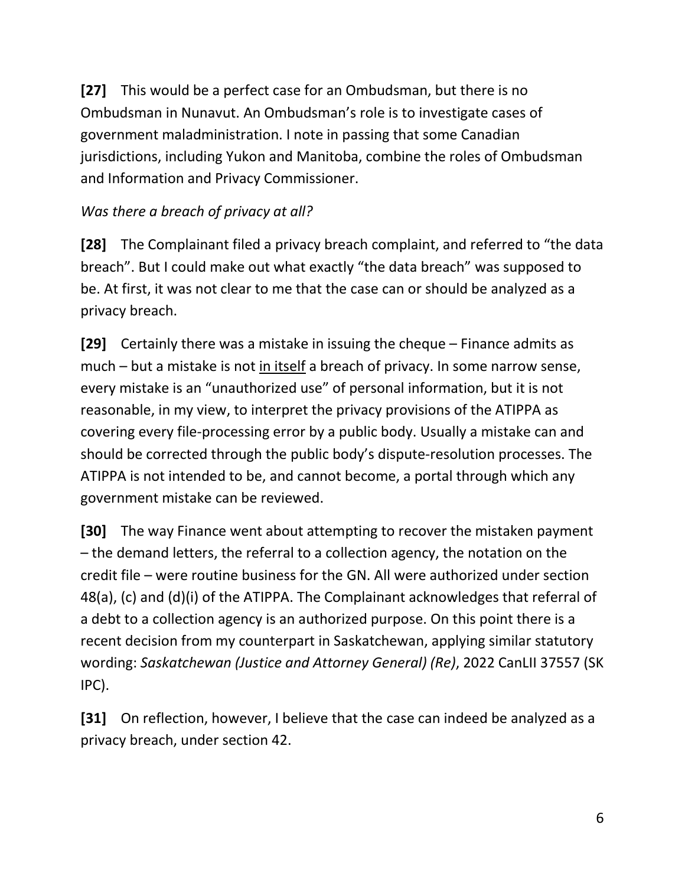**[27]** This would be a perfect case for an Ombudsman, but there is no Ombudsman in Nunavut. An Ombudsman's role is to investigate cases of government maladministration. I note in passing that some Canadian jurisdictions, including Yukon and Manitoba, combine the roles of Ombudsman and Information and Privacy Commissioner.

## *Was there a breach of privacy at all?*

**[28]** The Complainant filed a privacy breach complaint, and referred to "the data breach". But I could make out what exactly "the data breach" was supposed to be. At first, it was not clear to me that the case can or should be analyzed as a privacy breach.

**[29]** Certainly there was a mistake in issuing the cheque – Finance admits as much – but a mistake is not in itself a breach of privacy. In some narrow sense, every mistake is an "unauthorized use" of personal information, but it is not reasonable, in my view, to interpret the privacy provisions of the ATIPPA as covering every file-processing error by a public body. Usually a mistake can and should be corrected through the public body's dispute-resolution processes. The ATIPPA is not intended to be, and cannot become, a portal through which any government mistake can be reviewed.

**[30]** The way Finance went about attempting to recover the mistaken payment – the demand letters, the referral to a collection agency, the notation on the credit file – were routine business for the GN. All were authorized under section 48(a), (c) and (d)(i) of the ATIPPA. The Complainant acknowledges that referral of a debt to a collection agency is an authorized purpose. On this point there is a recent decision from my counterpart in Saskatchewan, applying similar statutory wording: *Saskatchewan (Justice and Attorney General) (Re)*, 2022 CanLII 37557 (SK IPC).

**[31]** On reflection, however, I believe that the case can indeed be analyzed as a privacy breach, under section 42.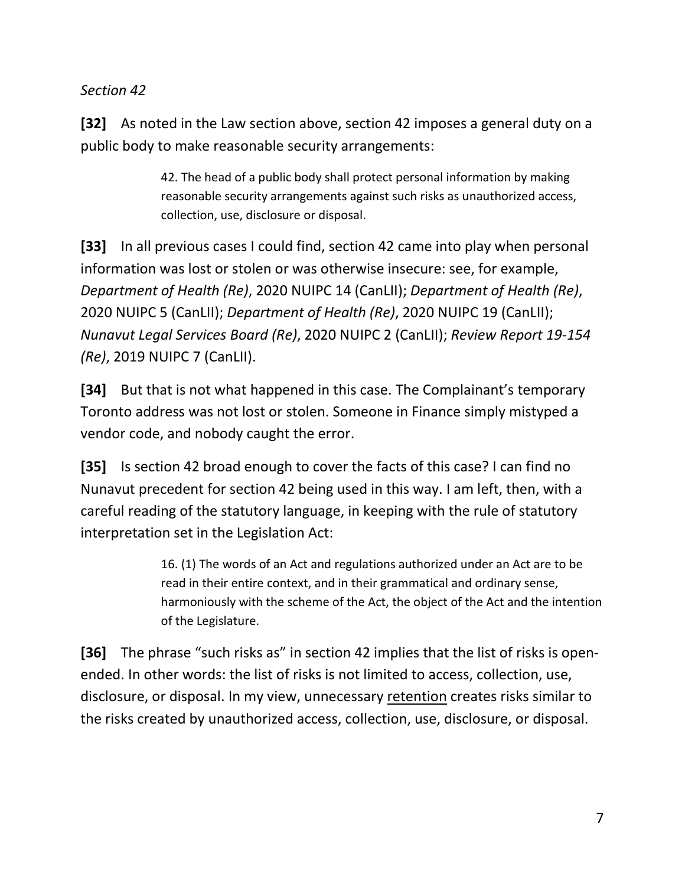### *Section 42*

**[32]** As noted in the Law section above, section 42 imposes a general duty on a public body to make reasonable security arrangements:

> 42. The head of a public body shall protect personal information by making reasonable security arrangements against such risks as unauthorized access, collection, use, disclosure or disposal.

**[33]** In all previous cases I could find, section 42 came into play when personal information was lost or stolen or was otherwise insecure: see, for example, *Department of Health (Re)*, 2020 NUIPC 14 (CanLII); *Department of Health (Re)*, 2020 NUIPC 5 (CanLII); *Department of Health (Re)*, 2020 NUIPC 19 (CanLII); *Nunavut Legal Services Board (Re)*, 2020 NUIPC 2 (CanLII); *Review Report 19-154 (Re)*, 2019 NUIPC 7 (CanLII).

**[34]** But that is not what happened in this case. The Complainant's temporary Toronto address was not lost or stolen. Someone in Finance simply mistyped a vendor code, and nobody caught the error.

**[35]** Is section 42 broad enough to cover the facts of this case? I can find no Nunavut precedent for section 42 being used in this way. I am left, then, with a careful reading of the statutory language, in keeping with the rule of statutory interpretation set in the Legislation Act:

> 16. (1) The words of an Act and regulations authorized under an Act are to be read in their entire context, and in their grammatical and ordinary sense, harmoniously with the scheme of the Act, the object of the Act and the intention of the Legislature.

**[36]** The phrase "such risks as" in section 42 implies that the list of risks is openended. In other words: the list of risks is not limited to access, collection, use, disclosure, or disposal. In my view, unnecessary retention creates risks similar to the risks created by unauthorized access, collection, use, disclosure, or disposal.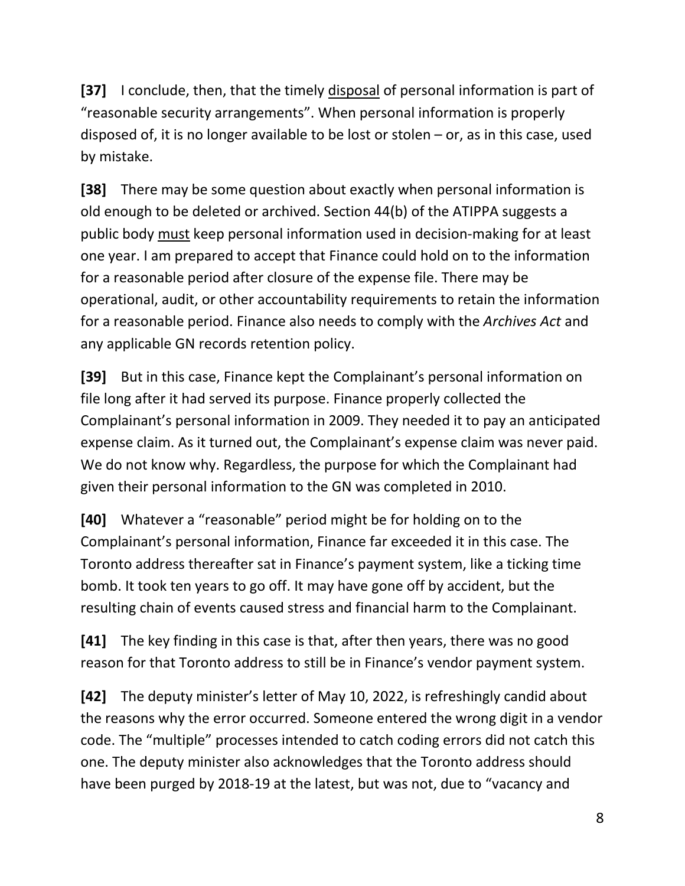**[37]** I conclude, then, that the timely disposal of personal information is part of "reasonable security arrangements". When personal information is properly disposed of, it is no longer available to be lost or stolen – or, as in this case, used by mistake.

**[38]** There may be some question about exactly when personal information is old enough to be deleted or archived. Section 44(b) of the ATIPPA suggests a public body must keep personal information used in decision-making for at least one year. I am prepared to accept that Finance could hold on to the information for a reasonable period after closure of the expense file. There may be operational, audit, or other accountability requirements to retain the information for a reasonable period. Finance also needs to comply with the *Archives Act* and any applicable GN records retention policy.

**[39]** But in this case, Finance kept the Complainant's personal information on file long after it had served its purpose. Finance properly collected the Complainant's personal information in 2009. They needed it to pay an anticipated expense claim. As it turned out, the Complainant's expense claim was never paid. We do not know why. Regardless, the purpose for which the Complainant had given their personal information to the GN was completed in 2010.

**[40]** Whatever a "reasonable" period might be for holding on to the Complainant's personal information, Finance far exceeded it in this case. The Toronto address thereafter sat in Finance's payment system, like a ticking time bomb. It took ten years to go off. It may have gone off by accident, but the resulting chain of events caused stress and financial harm to the Complainant.

**[41]** The key finding in this case is that, after then years, there was no good reason for that Toronto address to still be in Finance's vendor payment system.

**[42]** The deputy minister's letter of May 10, 2022, is refreshingly candid about the reasons why the error occurred. Someone entered the wrong digit in a vendor code. The "multiple" processes intended to catch coding errors did not catch this one. The deputy minister also acknowledges that the Toronto address should have been purged by 2018-19 at the latest, but was not, due to "vacancy and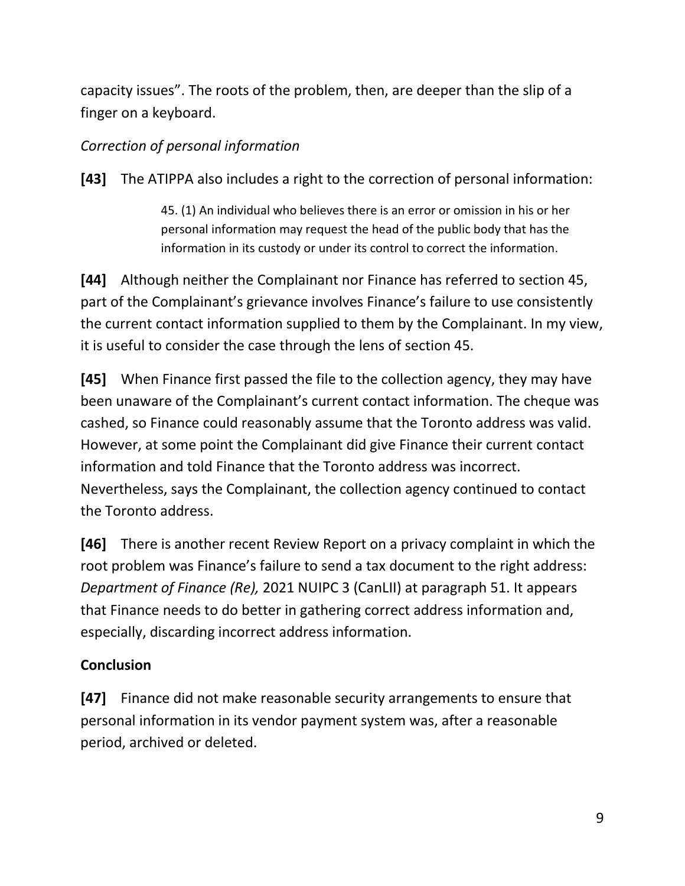capacity issues". The roots of the problem, then, are deeper than the slip of a finger on a keyboard.

## *Correction of personal information*

**[43]** The ATIPPA also includes a right to the correction of personal information:

45. (1) An individual who believes there is an error or omission in his or her personal information may request the head of the public body that has the information in its custody or under its control to correct the information.

**[44]** Although neither the Complainant nor Finance has referred to section 45, part of the Complainant's grievance involves Finance's failure to use consistently the current contact information supplied to them by the Complainant. In my view, it is useful to consider the case through the lens of section 45.

**[45]** When Finance first passed the file to the collection agency, they may have been unaware of the Complainant's current contact information. The cheque was cashed, so Finance could reasonably assume that the Toronto address was valid. However, at some point the Complainant did give Finance their current contact information and told Finance that the Toronto address was incorrect. Nevertheless, says the Complainant, the collection agency continued to contact the Toronto address.

**[46]** There is another recent Review Report on a privacy complaint in which the root problem was Finance's failure to send a tax document to the right address: *Department of Finance (Re),* 2021 NUIPC 3 (CanLII) at paragraph 51. It appears that Finance needs to do better in gathering correct address information and, especially, discarding incorrect address information.

## **Conclusion**

**[47]** Finance did not make reasonable security arrangements to ensure that personal information in its vendor payment system was, after a reasonable period, archived or deleted.